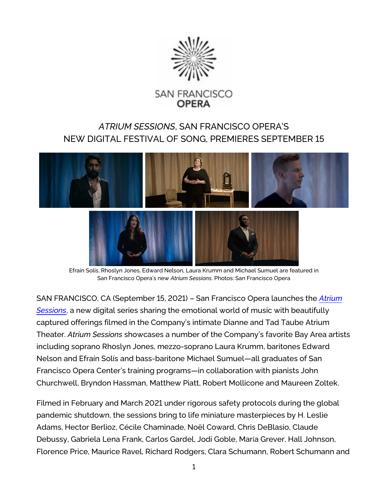

# *ATRIUM SESSIONS*, SAN FRANCISCO OPERA'S NEW DIGITAL FESTIVAL OF SONG, PREMIERES SEPTEMBER 15



Efraín Solís, Rhoslyn Jones, Edward Nelson, Laura Krumm and Michael Sumuel are featured in San Francisco Opera's new *Atrium Sessions*. Photos: San Francisco Opera

SAN FRANCISCO, CA (September 15, 2021) – San Francisco Opera launches the *[Atrium](https://www.sfopera.com/online/atrium-sessions/)  [Sessions](https://www.sfopera.com/online/atrium-sessions/)*, a new digital series sharing the emotional world of music with beautifully captured offerings filmed in the Company's intimate Dianne and Tad Taube Atrium Theater. *Atrium Sessions* showcases a number of the Company's favorite Bay Area artists including soprano Rhoslyn Jones, mezzo-soprano Laura Krumm, baritones Edward Nelson and Efraín Solís and bass-baritone Michael Sumuel—all graduates of San Francisco Opera Center's training programs—in collaboration with pianists John Churchwell, Bryndon Hassman, Matthew Piatt, Robert Mollicone and Maureen Zoltek.

Filmed in February and March 2021 under rigorous safety protocols during the global pandemic shutdown, the sessions bring to life miniature masterpieces by H. Leslie Adams, Hector Berlioz, Cécile Chaminade, Noël Coward, Chris DeBlasio, Claude Debussy, Gabriela Lena Frank, Carlos Gardel, Jodi Goble, María Grever, Hall Johnson, Florence Price, Maurice Ravel, Richard Rodgers, Clara Schumann, Robert Schumann and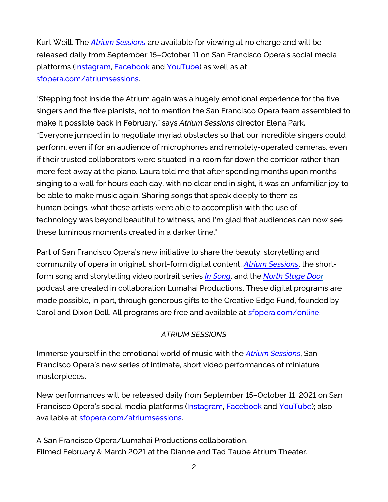Kurt Weill. The *[Atrium Sessions](https://www.sfopera.com/online/atrium-sessions/)* are available for viewing at no charge and will be released daily from September 15–October 11 on San Francisco Opera's social media platforms [\(Instagram,](https://www.instagram.com/p/CT2qSumBqt0/) [Facebook](https://www.facebook.com/SFOpera/) and [YouTube\)](https://www.youtube.com/c/sfoperamedia) as well as at [sfopera.com/atriumsessions.](https://www.sfopera.com/online/atrium-sessions/)

"Stepping foot inside the Atrium again was a hugely emotional experience for the five singers and the five pianists, not to mention the San Francisco Opera team assembled to make it possible back in February," says *Atrium Sessions* director Elena Park. "Everyone jumped in to negotiate myriad obstacles so that our incredible singers could perform, even if for an audience of microphones and remotely-operated cameras, even if their trusted collaborators were situated in a room far down the corridor rather than mere feet away at the piano. Laura told me that after spending months upon months singing to a wall for hours each day, with no clear end in sight, it was an unfamiliar joy to be able to make music again. Sharing songs that speak deeply to them as human beings, what these artists were able to accomplish with the use of technology was beyond beautiful to witness, and I'm glad that audiences can now see these luminous moments created in a darker time."

Part of San Francisco Opera's new initiative to share the beauty, storytelling and community of opera in original, short-form digital content, *[Atrium Sessions](https://www.sfopera.com/online/atrium-sessions/)*, the shortform song and storytelling video portrait series *[In Song](https://www.sfopera.com/online/in-song/)*, and the *[North Stage Door](https://www.sfopera.com/online/audio/northstagedoor/)* podcast are created in collaboration Lumahai Productions. These digital programs are made possible, in part, through generous gifts to the Creative Edge Fund, founded by Carol and Dixon Doll. All programs are free and available at [sfopera.com/online.](https://www.sfopera.com/online/)

# *ATRIUM SESSIONS*

Immerse yourself in the emotional world of music with the *[Atrium Sessions](https://www.sfopera.com/online/atrium-sessions/)*, San Francisco Opera's new series of intimate, short video performances of miniature masterpieces.

New performances will be released daily from September 15–October 11, 2021 on San Francisco Opera's social media platforms [\(Instagram,](https://www.instagram.com/p/CT2qSumBqt0/) [Facebook](https://www.facebook.com/SFOpera/) and [YouTube\)](https://www.youtube.com/c/sfoperamedia); also available at [sfopera.com/atriumsessions.](https://www.sfopera.com/online/atrium-sessions/)

A San Francisco Opera/Lumahai Productions collaboration. Filmed February & March 2021 at the Dianne and Tad Taube Atrium Theater.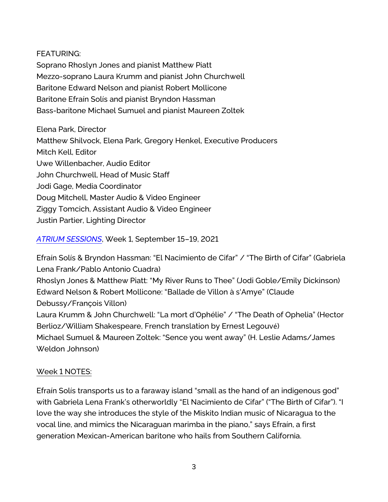### FEATURING:

Soprano Rhoslyn Jones and pianist Matthew Piatt Mezzo-soprano Laura Krumm and pianist John Churchwell Baritone Edward Nelson and pianist Robert Mollicone Baritone Efraín Solís and pianist Bryndon Hassman Bass-baritone Michael Sumuel and pianist Maureen Zoltek

Elena Park, Director Matthew Shilvock, Elena Park, Gregory Henkel, Executive Producers Mitch Kell, Editor Uwe Willenbacher, Audio Editor John Churchwell, Head of Music Staff Jodi Gage, Media Coordinator Doug Mitchell, Master Audio & Video Engineer Ziggy Tomcich, Assistant Audio & Video Engineer Justin Partier, Lighting Director

# *[ATRIUM SESSIONS](https://www.sfopera.com/online/atrium-sessions/)*, Week 1, September 15–19, 2021

Efraín Solís & Bryndon Hassman: "El Nacimiento de Cifar" / "The Birth of Cifar" (Gabriela Lena Frank/Pablo Antonio Cuadra) Rhoslyn Jones & Matthew Piatt: "My River Runs to Thee" (Jodi Goble/Emily Dickinson) Edward Nelson & Robert Mollicone: "Ballade de Villon à s'Amye" (Claude Debussy/François Villon) Laura Krumm & John Churchwell: "La mort d'Ophélie" / "The Death of Ophelia" (Hector Berlioz/William Shakespeare, French translation by Ernest Legouvé) Michael Sumuel & Maureen Zoltek: "Sence you went away" (H. Leslie Adams/James Weldon Johnson)

# Week 1 NOTES:

Efraín Solís transports us to a faraway island "small as the hand of an indigenous god" with Gabriela Lena Frank's otherworldly "El Nacimiento de Cifar" ("The Birth of Cifar"). "I love the way she introduces the style of the Miskito Indian music of Nicaragua to the vocal line, and mimics the Nicaraguan marimba in the piano," says Efraín, a first generation Mexican-American baritone who hails from Southern California.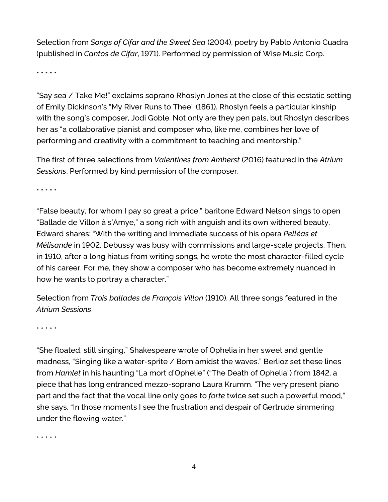Selection from *Songs of Cifar and the Sweet Sea* (2004), poetry by Pablo Antonio Cuadra (published in *Cantos de Cifar*, 1971). Performed by permission of Wise Music Corp.

\* \* \* \* \*

"Say sea / Take Me!" exclaims soprano Rhoslyn Jones at the close of this ecstatic setting of Emily Dickinson's "My River Runs to Thee" (1861). Rhoslyn feels a particular kinship with the song's composer, Jodi Goble. Not only are they pen pals, but Rhoslyn describes her as "a collaborative pianist and composer who, like me, combines her love of performing and creativity with a commitment to teaching and mentorship."

The first of three selections from *Valentines from Amherst* (2016) featured in the *Atrium Sessions*. Performed by kind permission of the composer.

\* \* \* \* \*

"False beauty, for whom I pay so great a price," baritone Edward Nelson sings to open "Ballade de Villon à s'Amye," a song rich with anguish and its own withered beauty. Edward shares: "With the writing and immediate success of his opera *Pelléas et Mélisande* in 1902, Debussy was busy with commissions and large-scale projects. Then, in 1910, after a long hiatus from writing songs, he wrote the most character-filled cycle of his career. For me, they show a composer who has become extremely nuanced in how he wants to portray a character."

Selection from *Trois ballades de François Villon* (1910). All three songs featured in the *Atrium Sessions*.

\* \* \* \* \*

"She floated, still singing," Shakespeare wrote of Ophelia in her sweet and gentle madness, "Singing like a water-sprite / Born amidst the waves." Berlioz set these lines from *Hamlet* in his haunting "La mort d'Ophélie" ("The Death of Ophelia") from 1842, a piece that has long entranced mezzo-soprano Laura Krumm. "The very present piano part and the fact that the vocal line only goes to *forte* twice set such a powerful mood," she says. "In those moments I see the frustration and despair of Gertrude simmering under the flowing water."

\* \* \* \* \*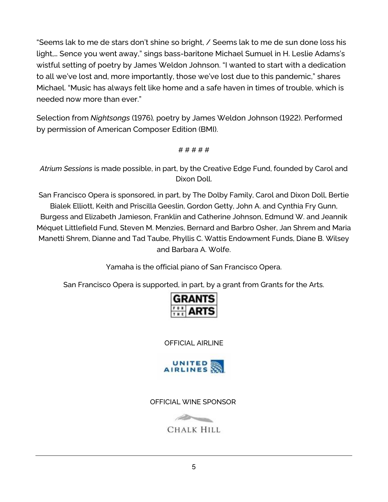"Seems lak to me de stars don't shine so bright, / Seems lak to me de sun done loss his light,… Sence you went away," sings bass-baritone Michael Sumuel in H. Leslie Adams's wistful setting of poetry by James Weldon Johnson. "I wanted to start with a dedication to all we've lost and, more importantly, those we've lost due to this pandemic," shares Michael. "Music has always felt like home and a safe haven in times of trouble, which is needed now more than ever."

Selection from *Nightsongs* (1976)*,* poetry by James Weldon Johnson (1922). Performed by permission of American Composer Edition (BMI).

# # # # #

*Atrium Sessions* is made possible, in part, by the Creative Edge Fund, founded by Carol and Dixon Doll.

San Francisco Opera is sponsored, in part, by The Dolby Family, Carol and Dixon Doll, Bertie Bialek Elliott, Keith and Priscilla Geeslin, Gordon Getty, John A. and Cynthia Fry Gunn, Burgess and Elizabeth Jamieson, Franklin and Catherine Johnson, Edmund W. and Jeannik Méquet Littlefield Fund, Steven M. Menzies, Bernard and Barbro Osher, Jan Shrem and Maria Manetti Shrem, Dianne and Tad Taube, Phyllis C. Wattis Endowment Funds, Diane B. Wilsey and Barbara A. Wolfe.

Yamaha is the official piano of San Francisco Opera.

San Francisco Opera is supported, in part, by a grant from Grants for the Arts.

| <b>GRANTS</b> |                      |
|---------------|----------------------|
|               | $\frac{1}{100}$ ARTS |
|               |                      |

OFFICIAL AIRLINE



OFFICIAL WINE SPONSOR